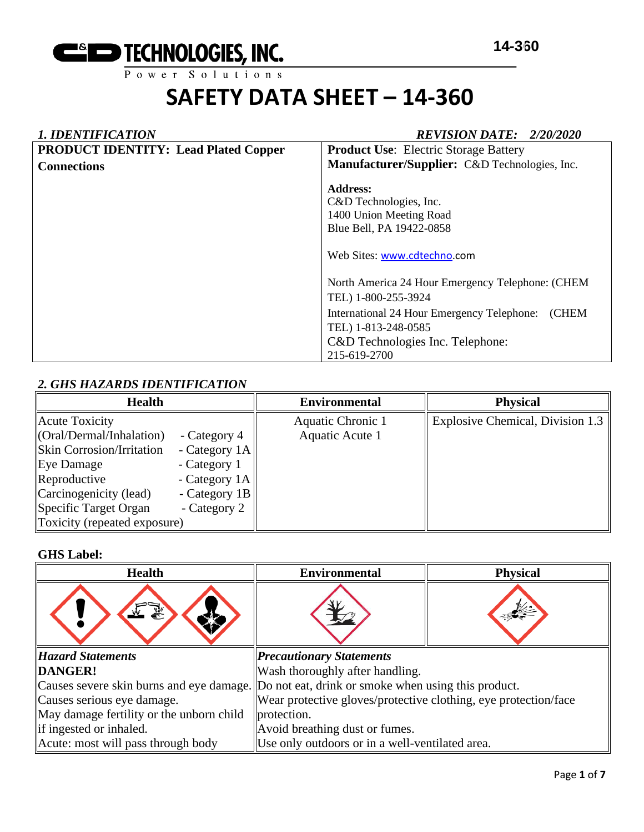

## *1. IDENTIFICATION REVISION DATE: 2/20/2020* **PRODUCT IDENTITY: Lead Plated Copper Connections Product Use**: Electric Storage Battery **Manufacturer/Supplier:** C&D Technologies, Inc. **Address:**  C&D Technologies, Inc. 1400 Union Meeting Road Blue Bell, PA 19422-0858 Web Sites: [www.cdtechno.](http://www.cdtechno/)com North America 24 Hour Emergency Telephone: (CHEM TEL) 1-800-255-3924 International 24 Hour Emergency Telephone: (CHEM TEL) 1-813-248-0585 C&D Technologies Inc. Telephone: 215-619-2700

## *2. GHS HAZARDS IDENTIFICATION*

| <b>Health</b>                                                                                                                                                               |                                                                                     | <b>Environmental</b>                 | <b>Physical</b>                  |
|-----------------------------------------------------------------------------------------------------------------------------------------------------------------------------|-------------------------------------------------------------------------------------|--------------------------------------|----------------------------------|
| Acute Toxicity<br>$\langle \text{Oral}/\text{Dermal}/\text{Inhalation} \rangle$<br><b>Skin Corrosion/Irritation</b><br>Eye Damage<br>Reproductive<br>Carcinogenicity (lead) | - Category 4<br>- Category $1A$<br>- Category 1<br>- Category 1A<br>- Category $1B$ | Aquatic Chronic 1<br>Aquatic Acute 1 | Explosive Chemical, Division 1.3 |
| Specific Target Organ                                                                                                                                                       | - Category 2                                                                        |                                      |                                  |
| Toxicity (repeated exposure)                                                                                                                                                |                                                                                     |                                      |                                  |

#### **GHS Label:**

| <b>Health</b>                            | <b>Environmental</b>                                                                         | <b>Physical</b> |  |
|------------------------------------------|----------------------------------------------------------------------------------------------|-----------------|--|
|                                          |                                                                                              |                 |  |
| <b>Hazard Statements</b>                 | <b>Precautionary Statements</b>                                                              |                 |  |
| DANGER!                                  | Wash thoroughly after handling.                                                              |                 |  |
|                                          | Causes severe skin burns and eye damage. Do not eat, drink or smoke when using this product. |                 |  |
| Causes serious eye damage.               | Wear protective gloves/protective clothing, eye protection/face                              |                 |  |
| May damage fertility or the unborn child | protection.                                                                                  |                 |  |
| if ingested or inhaled.                  | Avoid breathing dust or fumes.                                                               |                 |  |
| Acute: most will pass through body       | Use only outdoors or in a well-ventilated area.                                              |                 |  |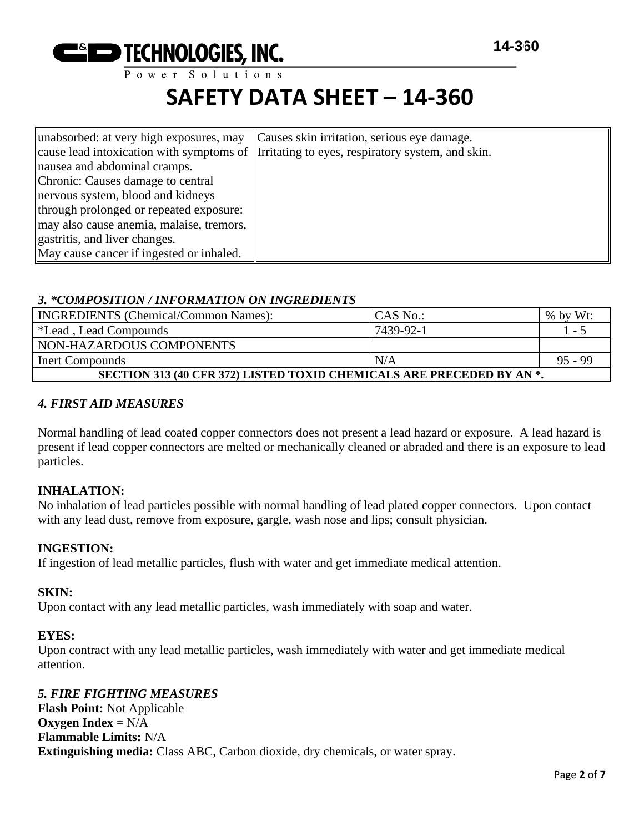

Power Solutions

## **SAFETY DATA SHEET – 14-360**

| unabsorbed: at very high exposures, may Causes skin irritation, serious eye damage. |                                                                                            |
|-------------------------------------------------------------------------------------|--------------------------------------------------------------------------------------------|
|                                                                                     | cause lead intoxication with symptoms of literating to eyes, respiratory system, and skin. |
| nausea and abdominal cramps.                                                        |                                                                                            |
| Chronic: Causes damage to central                                                   |                                                                                            |
| nervous system, blood and kidneys                                                   |                                                                                            |
| through prolonged or repeated exposure:                                             |                                                                                            |
| may also cause anemia, malaise, tremors,                                            |                                                                                            |
| gastritis, and liver changes.                                                       |                                                                                            |
| May cause cancer if ingested or inhaled.                                            |                                                                                            |

## *3. \*COMPOSITION / INFORMATION ON INGREDIENTS*

| <b>INGREDIENTS</b> (Chemical/Common Names):                           | CAS No.:  | $%$ by Wt: |  |  |
|-----------------------------------------------------------------------|-----------|------------|--|--|
| *Lead, Lead Compounds                                                 | 7439-92-1 | 1 - 5      |  |  |
| NON-HAZARDOUS COMPONENTS                                              |           |            |  |  |
| Inert Compounds                                                       | N/A       | 95 - 99    |  |  |
| SECTION 313 (40 CFR 372) LISTED TOXID CHEMICALS ARE PRECEDED BY AN *. |           |            |  |  |

## *4. FIRST AID MEASURES*

Normal handling of lead coated copper connectors does not present a lead hazard or exposure. A lead hazard is present if lead copper connectors are melted or mechanically cleaned or abraded and there is an exposure to lead particles.

## **INHALATION:**

No inhalation of lead particles possible with normal handling of lead plated copper connectors. Upon contact with any lead dust, remove from exposure, gargle, wash nose and lips; consult physician.

## **INGESTION:**

If ingestion of lead metallic particles, flush with water and get immediate medical attention.

#### **SKIN:**

Upon contact with any lead metallic particles, wash immediately with soap and water.

#### **EYES:**

Upon contract with any lead metallic particles, wash immediately with water and get immediate medical attention.

## *5. FIRE FIGHTING MEASURES* **Flash Point:** Not Applicable **Oxygen Index** = N/A **Flammable Limits:** N/A **Extinguishing media:** Class ABC, Carbon dioxide, dry chemicals, or water spray.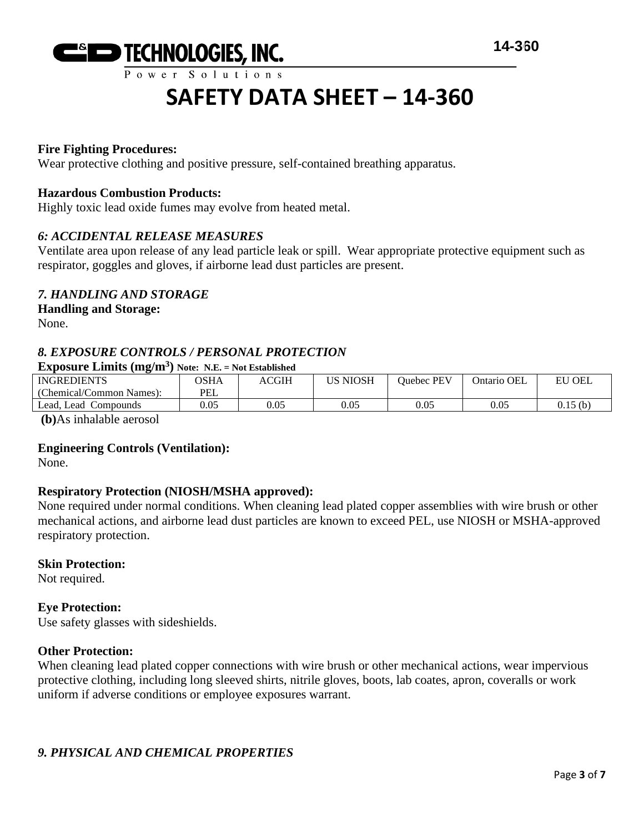

## **Fire Fighting Procedures:**

Wear protective clothing and positive pressure, self-contained breathing apparatus.

#### **Hazardous Combustion Products:**

Highly toxic lead oxide fumes may evolve from heated metal.

#### *6: ACCIDENTAL RELEASE MEASURES*

Ventilate area upon release of any lead particle leak or spill. Wear appropriate protective equipment such as respirator, goggles and gloves, if airborne lead dust particles are present.

## *7. HANDLING AND STORAGE*

## **Handling and Storage:**

None.

## *8. EXPOSURE CONTROLS / PERSONAL PROTECTION*

#### **Exposure Limits (mg/m<sup>3</sup> ) Note: N.E. = Not Established**

| <b>INGREDIENTS</b>       | <b>OSHA</b> | ACGIH | US NIOSH | <b>Ouebec PEV</b> | Ontario OEL | $\mathsf{I}$ OEL<br>EU |
|--------------------------|-------------|-------|----------|-------------------|-------------|------------------------|
| (Chemical/Common Names): | PEL         |       |          |                   |             |                        |
| Compounds<br>Lead, Lead  | 0.05        | 0.05  | 0.05     | 0.05              | $0.05\,$    | 0.15(b)                |
| .                        |             |       |          |                   |             |                        |

**(b)**As inhalable aerosol

#### **Engineering Controls (Ventilation):**

None.

## **Respiratory Protection (NIOSH/MSHA approved):**

None required under normal conditions. When cleaning lead plated copper assemblies with wire brush or other mechanical actions, and airborne lead dust particles are known to exceed PEL, use NIOSH or MSHA-approved respiratory protection.

#### **Skin Protection:**

Not required.

#### **Eye Protection:**

Use safety glasses with sideshields.

#### **Other Protection:**

When cleaning lead plated copper connections with wire brush or other mechanical actions, wear impervious protective clothing, including long sleeved shirts, nitrile gloves, boots, lab coates, apron, coveralls or work uniform if adverse conditions or employee exposures warrant.

## *9. PHYSICAL AND CHEMICAL PROPERTIES*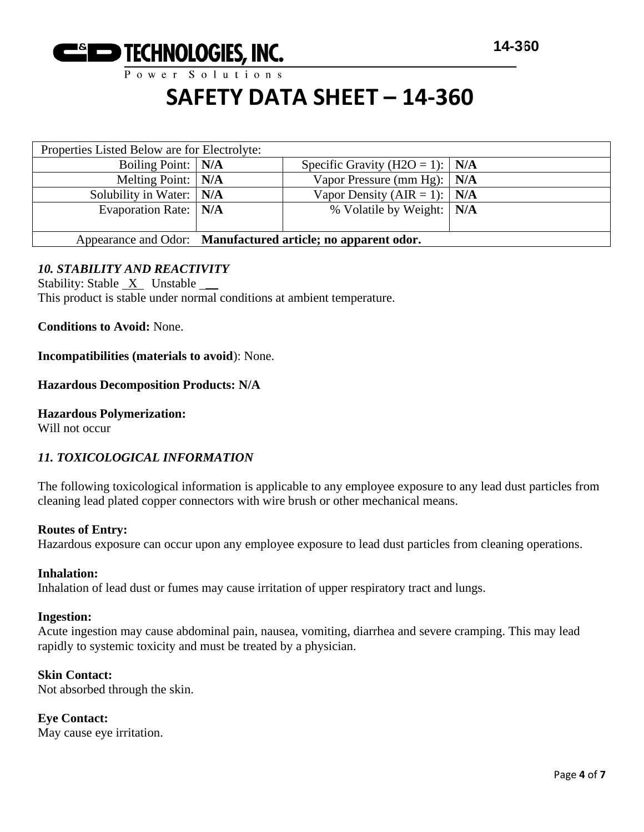

Power Solutions

## **SAFETY DATA SHEET – 14-360**

| Properties Listed Below are for Electrolyte: |                                                              |                                         |  |
|----------------------------------------------|--------------------------------------------------------------|-----------------------------------------|--|
| Boiling Point:   N/A                         |                                                              | Specific Gravity (H2O = 1): $\vert$ N/A |  |
| Melting Point:   N/A                         |                                                              | Vapor Pressure (mm Hg): $\vert$ N/A     |  |
| Solubility in Water:   N/A                   |                                                              | Vapor Density (AIR = 1): $\vert$ N/A    |  |
| Evaporation Rate:   N/A                      |                                                              | % Volatile by Weight:   N/A             |  |
|                                              |                                                              |                                         |  |
|                                              | Appearance and Odor: Manufactured article; no apparent odor. |                                         |  |

## *10. STABILITY AND REACTIVITY*

Stability: Stable  $X$  Unstable This product is stable under normal conditions at ambient temperature.

**Conditions to Avoid:** None.

**Incompatibilities (materials to avoid**): None.

#### **Hazardous Decomposition Products: N/A**

**Hazardous Polymerization:**

Will not occur

## *11. TOXICOLOGICAL INFORMATION*

The following toxicological information is applicable to any employee exposure to any lead dust particles from cleaning lead plated copper connectors with wire brush or other mechanical means.

#### **Routes of Entry:**

Hazardous exposure can occur upon any employee exposure to lead dust particles from cleaning operations.

#### **Inhalation:**

Inhalation of lead dust or fumes may cause irritation of upper respiratory tract and lungs.

#### **Ingestion:**

Acute ingestion may cause abdominal pain, nausea, vomiting, diarrhea and severe cramping. This may lead rapidly to systemic toxicity and must be treated by a physician.

#### **Skin Contact:**

Not absorbed through the skin.

#### **Eye Contact:** May cause eye irritation.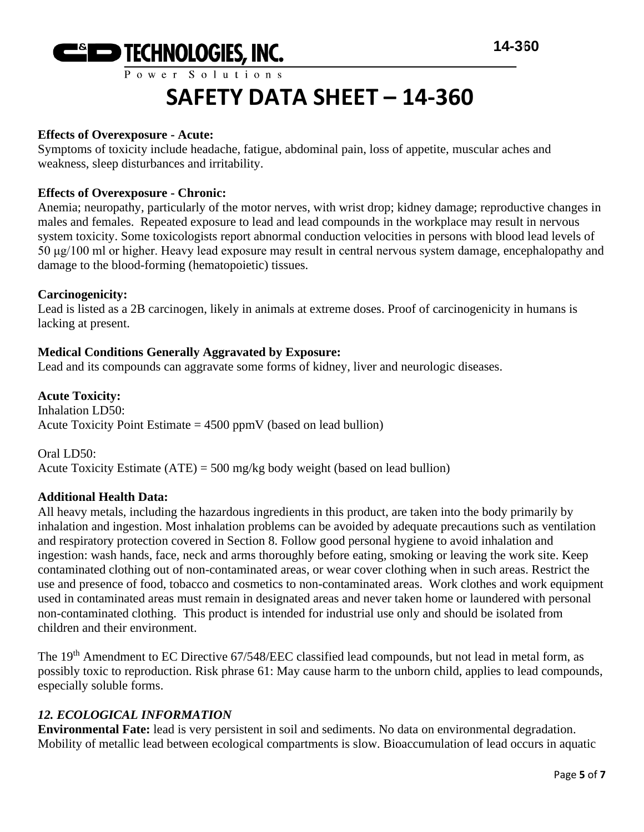

## **Effects of Overexposure - Acute:**

Symptoms of toxicity include headache, fatigue, abdominal pain, loss of appetite, muscular aches and weakness, sleep disturbances and irritability.

## **Effects of Overexposure - Chronic:**

Anemia; neuropathy, particularly of the motor nerves, with wrist drop; kidney damage; reproductive changes in males and females. Repeated exposure to lead and lead compounds in the workplace may result in nervous system toxicity. Some toxicologists report abnormal conduction velocities in persons with blood lead levels of 50 μg/100 ml or higher. Heavy lead exposure may result in central nervous system damage, encephalopathy and damage to the blood-forming (hematopoietic) tissues.

## **Carcinogenicity:**

Lead is listed as a 2B carcinogen, likely in animals at extreme doses. Proof of carcinogenicity in humans is lacking at present.

## **Medical Conditions Generally Aggravated by Exposure:**

Lead and its compounds can aggravate some forms of kidney, liver and neurologic diseases.

**Acute Toxicity:** Inhalation LD50: Acute Toxicity Point Estimate  $= 4500$  ppmV (based on lead bullion)

Oral LD50: Acute Toxicity Estimate  $(ATE) = 500$  mg/kg body weight (based on lead bullion)

## **Additional Health Data:**

All heavy metals, including the hazardous ingredients in this product, are taken into the body primarily by inhalation and ingestion. Most inhalation problems can be avoided by adequate precautions such as ventilation and respiratory protection covered in Section 8. Follow good personal hygiene to avoid inhalation and ingestion: wash hands, face, neck and arms thoroughly before eating, smoking or leaving the work site. Keep contaminated clothing out of non-contaminated areas, or wear cover clothing when in such areas. Restrict the use and presence of food, tobacco and cosmetics to non-contaminated areas. Work clothes and work equipment used in contaminated areas must remain in designated areas and never taken home or laundered with personal non-contaminated clothing. This product is intended for industrial use only and should be isolated from children and their environment.

The 19<sup>th</sup> Amendment to EC Directive 67/548/EEC classified lead compounds, but not lead in metal form, as possibly toxic to reproduction. Risk phrase 61: May cause harm to the unborn child, applies to lead compounds, especially soluble forms.

## *12. ECOLOGICAL INFORMATION*

**Environmental Fate:** lead is very persistent in soil and sediments. No data on environmental degradation. Mobility of metallic lead between ecological compartments is slow. Bioaccumulation of lead occurs in aquatic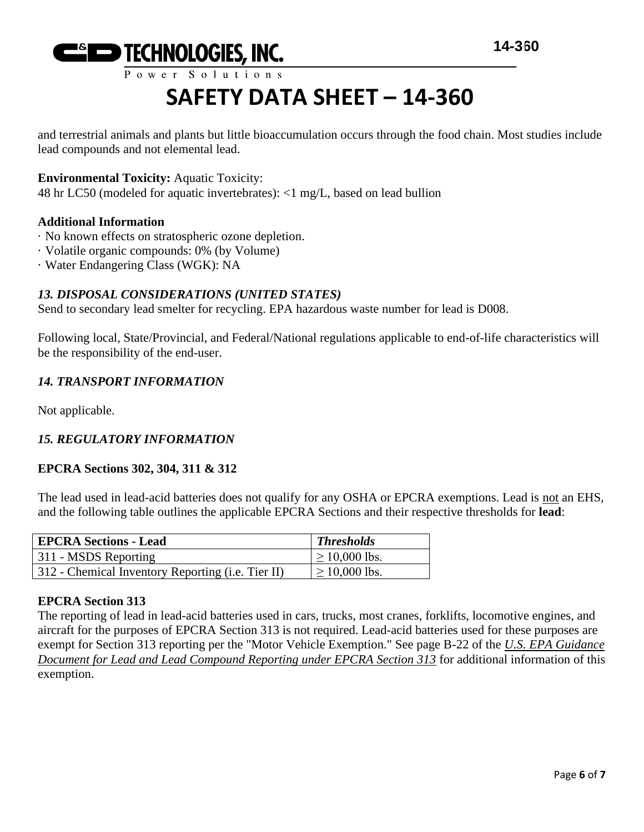

and terrestrial animals and plants but little bioaccumulation occurs through the food chain. Most studies include lead compounds and not elemental lead.

## **Environmental Toxicity:** Aquatic Toxicity:

48 hr LC50 (modeled for aquatic invertebrates): <1 mg/L, based on lead bullion

## **Additional Information**

- · No known effects on stratospheric ozone depletion.
- · Volatile organic compounds: 0% (by Volume)
- · Water Endangering Class (WGK): NA

## *13. DISPOSAL CONSIDERATIONS (UNITED STATES)*

Send to secondary lead smelter for recycling. EPA hazardous waste number for lead is D008.

Following local, State/Provincial, and Federal/National regulations applicable to end-of-life characteristics will be the responsibility of the end-user.

## *14. TRANSPORT INFORMATION*

Not applicable.

## *15. REGULATORY INFORMATION*

## **EPCRA Sections 302, 304, 311 & 312**

The lead used in lead-acid batteries does not qualify for any OSHA or EPCRA exemptions. Lead is not an EHS, and the following table outlines the applicable EPCRA Sections and their respective thresholds for **lead**:

| <b>EPCRA Sections - Lead</b>                      | <b>Thresholds</b>  |
|---------------------------------------------------|--------------------|
| 311 - MSDS Reporting                              | $\geq 10,000$ lbs. |
| 312 - Chemical Inventory Reporting (i.e. Tier II) | $\geq 10,000$ lbs. |

## **EPCRA Section 313**

The reporting of lead in lead-acid batteries used in cars, trucks, most cranes, forklifts, locomotive engines, and aircraft for the purposes of EPCRA Section 313 is not required. Lead-acid batteries used for these purposes are exempt for Section 313 reporting per the "Motor Vehicle Exemption." See page B-22 of the *U.S. EPA Guidance Document for Lead and Lead Compound Reporting under EPCRA Section 313* for additional information of this exemption.